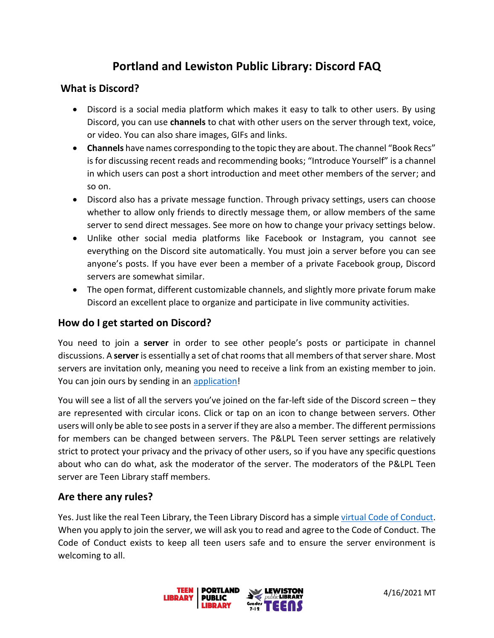# **Portland and Lewiston Public Library: Discord FAQ**

#### **What is Discord?**

- Discord is a social media platform which makes it easy to talk to other users. By using Discord, you can use **channels** to chat with other users on the server through text, voice, or video. You can also share images, GIFs and links.
- **Channels** have names corresponding to the topic they are about. The channel "Book Recs" is for discussing recent reads and recommending books; "Introduce Yourself" is a channel in which users can post a short introduction and meet other members of the server; and so on.
- Discord also has a private message function. Through privacy settings, users can choose whether to allow only friends to directly message them, or allow members of the same server to send direct messages. See more on how to change your privacy settings below.
- Unlike other social media platforms like Facebook or Instagram, you cannot see everything on the Discord site automatically. You must join a server before you can see anyone's posts. If you have ever been a member of a private Facebook group, Discord servers are somewhat similar.
- The open format, different customizable channels, and slightly more private forum make Discord an excellent place to organize and participate in live community activities.

## **How do I get started on Discord?**

You need to join a **server** in order to see other people's posts or participate in channel discussions. A **server** is essentially a set of chat rooms that all members of that server share. Most servers are invitation only, meaning you need to receive a link from an existing member to join. You can join ours by sending in an [application!](https://docs.google.com/forms/d/e/1FAIpQLSd4oFu6yGcKnoOx5aunMix-koBO_WtC9_46R4Y5b2Nq8pcV7A/viewform)

You will see a list of all the servers you've joined on the far-left side of the Discord screen – they are represented with circular icons. Click or tap on an icon to change between servers. Other users will only be able to see posts in a server if they are also a member. The different permissions for members can be changed between servers. The P&LPL Teen server settings are relatively strict to protect your privacy and the privacy of other users, so if you have any specific questions about who can do what, ask the moderator of the server. The moderators of the P&LPL Teen server are Teen Library staff members.

#### **Are there any rules?**

Yes. Just like the real Teen Library, the Teen Library Discord has a simple virtual [Code of Conduct.](https://cdn.discordapp.com/attachments/824323033267175474/824669202669109298/PLPL_Teen_Discord_Code_of_Conduct.pdf) When you apply to join the server, we will ask you to read and agree to the Code of Conduct. The Code of Conduct exists to keep all teen users safe and to ensure the server environment is welcoming to all.

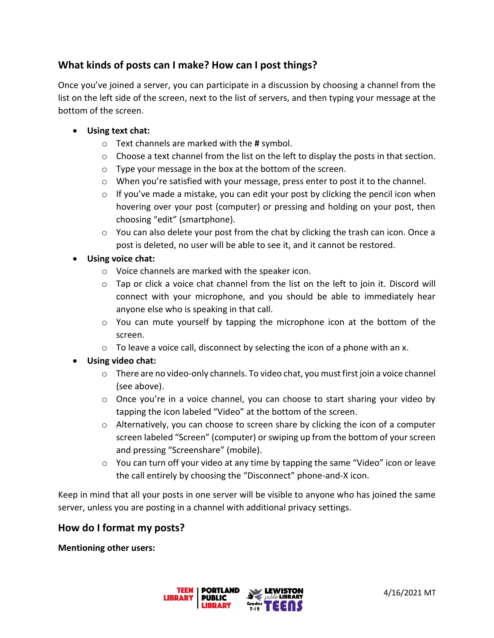## **What kinds of posts can I make? How can I post things?**

Once you've joined a server, you can participate in a discussion by choosing a channel from the list on the left side of the screen, next to the list of servers, and then typing your message at the bottom of the screen.

- **Using text chat:**
	- o Text channels are marked with the **#** symbol.
	- $\circ$  Choose a text channel from the list on the left to display the posts in that section.
	- o Type your message in the box at the bottom of the screen.
	- o When you're satisfied with your message, press enter to post it to the channel.
	- $\circ$  If you've made a mistake, you can edit your post by clicking the pencil icon when hovering over your post (computer) or pressing and holding on your post, then choosing "edit" (smartphone).
	- $\circ$  You can also delete your post from the chat by clicking the trash can icon. Once a post is deleted, no user will be able to see it, and it cannot be restored.

#### • **Using voice chat:**

- o Voice channels are marked with the speaker icon.
- $\circ$  Tap or click a voice chat channel from the list on the left to join it. Discord will connect with your microphone, and you should be able to immediately hear anyone else who is speaking in that call.
- $\circ$  You can mute yourself by tapping the microphone icon at the bottom of the screen.
- $\circ$  To leave a voice call, disconnect by selecting the icon of a phone with an x.
- **Using video chat:**
	- $\circ$  There are no video-only channels. To video chat, you must first join a voice channel (see above).
	- $\circ$  Once you're in a voice channel, you can choose to start sharing your video by tapping the icon labeled "Video" at the bottom of the screen.
	- o Alternatively, you can choose to screen share by clicking the icon of a computer screen labeled "Screen" (computer) or swiping up from the bottom of your screen and pressing "Screenshare" (mobile).
	- $\circ$  You can turn off your video at any time by tapping the same "Video" icon or leave the call entirely by choosing the "Disconnect" phone-and-X icon.

Keep in mind that all your posts in one server will be visible to anyone who has joined the same server, unless you are posting in a channel with additional privacy settings.

#### **How do I format my posts?**

**Mentioning other users:**

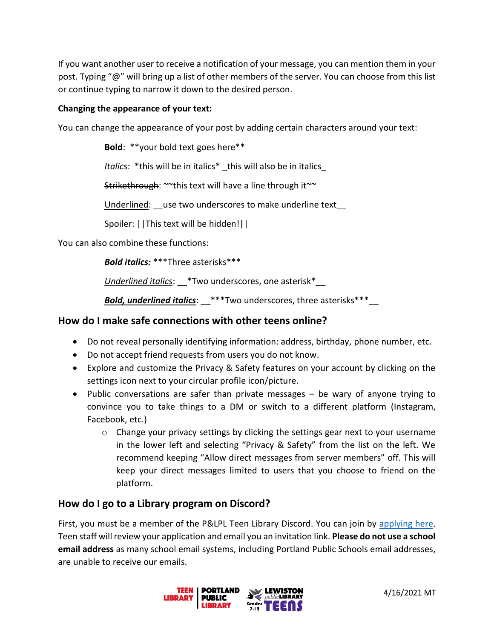If you want another user to receive a notification of your message, you can mention them in your post. Typing "@" will bring up a list of other members of the server. You can choose from this list or continue typing to narrow it down to the desired person.

#### **Changing the appearance of your text:**

You can change the appearance of your post by adding certain characters around your text:

**Bold**: \*\*your bold text goes here\*\*

*Italics*: \*this will be in italics\* \_this will also be in italics\_

Strikethrough: ~~this text will have a line through it~~

Underlined: use two underscores to make underline text

Spoiler: ||This text will be hidden!||

You can also combine these functions:

*Bold italics:* \*\*\*Three asterisks\*\*\*

*Underlined italics*: \_\_\*Two underscores, one asterisk\*\_\_

*Bold, underlined italics*: \_\_\*\*\*Two underscores, three asterisks\*\*\*\_\_

## **How do I make safe connections with other teens online?**

- Do not reveal personally identifying information: address, birthday, phone number, etc.
- Do not accept friend requests from users you do not know.
- Explore and customize the Privacy & Safety features on your account by clicking on the settings icon next to your circular profile icon/picture.
- Public conversations are safer than private messages be wary of anyone trying to convince you to take things to a DM or switch to a different platform (Instagram, Facebook, etc.)
	- $\circ$  Change your privacy settings by clicking the settings gear next to your username in the lower left and selecting "Privacy & Safety" from the list on the left. We recommend keeping "Allow direct messages from server members" off. This will keep your direct messages limited to users that you choose to friend on the platform.

## **How do I go to a Library program on Discord?**

First, you must be a member of the P&LPL Teen Library Discord. You can join by [applying here.](https://docs.google.com/forms/d/e/1FAIpQLSd4oFu6yGcKnoOx5aunMix-koBO_WtC9_46R4Y5b2Nq8pcV7A/viewform) Teen staff will review your application and email you an invitation link. **Please do not use a school email address** as many school email systems, including Portland Public Schools email addresses, are unable to receive our emails.